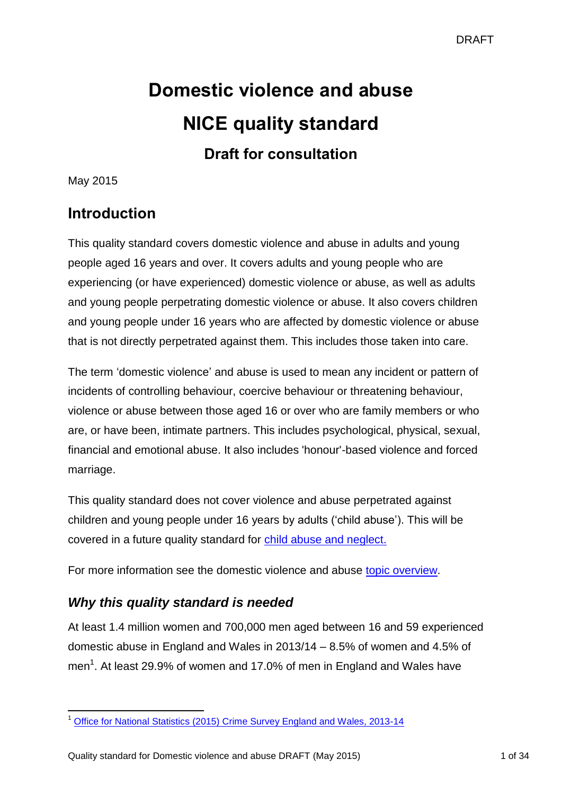# **Domestic violence and abuse NICE quality standard Draft for consultation**

May 2015

## **Introduction**

This quality standard covers domestic violence and abuse in adults and young people aged 16 years and over. It covers adults and young people who are experiencing (or have experienced) domestic violence or abuse, as well as adults and young people perpetrating domestic violence or abuse. It also covers children and young people under 16 years who are affected by domestic violence or abuse that is not directly perpetrated against them. This includes those taken into care.

The term 'domestic violence' and abuse is used to mean any incident or pattern of incidents of controlling behaviour, coercive behaviour or threatening behaviour, violence or abuse between those aged 16 or over who are family members or who are, or have been, intimate partners. This includes psychological, physical, sexual, financial and emotional abuse. It also includes 'honour'-based violence and forced marriage.

This quality standard does not cover violence and abuse perpetrated against children and young people under 16 years by adults ('child abuse'). This will be covered in a future quality standard for [child abuse and neglect.](http://www.nice.org.uk/Standards-and-Indicators/Developing-NICE-quality-standards-/Quality-standards-topic-library)

For more information see the domestic violence and abuse [topic overview.](http://www.nice.org.uk/guidance/indevelopment/gid-qsd106/documents)

## *Why this quality standard is needed*

At least 1.4 million women and 700,000 men aged between 16 and 59 experienced domestic abuse in England and Wales in 2013/14 – 8.5% of women and 4.5% of men<sup>1</sup>. At least 29.9% of women and 17.0% of men in England and Wales have

<sup>-</sup><sup>1</sup> [Office for National Statistics \(2015\) Crime Survey England and Wales, 2013-14](http://www.ons.gov.uk/ons/rel/crime-stats/crime-statistics/focus-on-violent-crime-and-sexual-offences--2013-14/index.html)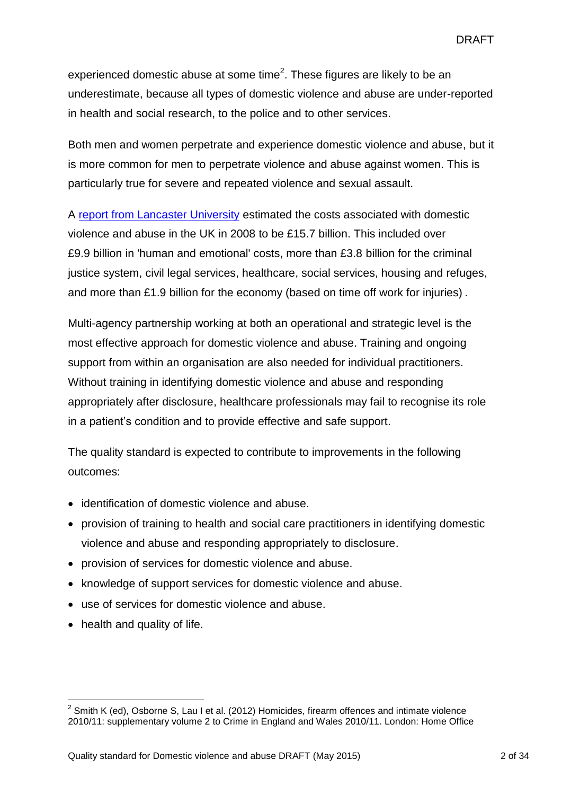experienced domestic abuse at some time<sup>2</sup>. These figures are likely to be an underestimate, because all types of domestic violence and abuse are under-reported in health and social research, to the police and to other services.

Both men and women perpetrate and experience domestic violence and abuse, but it is more common for men to perpetrate violence and abuse against women. This is particularly true for severe and repeated violence and sexual assault.

A [report from Lancaster University](http://www.research.lancs.ac.uk/portal/en/people/sylvia-walby(eae438c4-8116-45b9-9af5-8b4f785599c0)/publications.html) estimated the costs associated with domestic violence and abuse in the UK in 2008 to be £15.7 billion. This included over £9.9 billion in 'human and emotional' costs, more than £3.8 billion for the criminal justice system, civil legal services, healthcare, social services, housing and refuges, and more than £1.9 billion for the economy (based on time off work for injuries) .

Multi-agency partnership working at both an operational and strategic level is the most effective approach for domestic violence and abuse. Training and ongoing support from within an organisation are also needed for individual practitioners. Without training in identifying domestic violence and abuse and responding appropriately after disclosure, healthcare professionals may fail to recognise its role in a patient's condition and to provide effective and safe support.

The quality standard is expected to contribute to improvements in the following outcomes:

- identification of domestic violence and abuse.
- provision of training to health and social care practitioners in identifying domestic violence and abuse and responding appropriately to disclosure.
- provision of services for domestic violence and abuse.
- knowledge of support services for domestic violence and abuse.
- use of services for domestic violence and abuse.
- health and quality of life.

<u>.</u>

 $2$  Smith K (ed), Osborne S, Lau I et al. (2012) Homicides, firearm offences and intimate violence 2010/11: supplementary volume 2 to Crime in England and Wales 2010/11. London: Home Office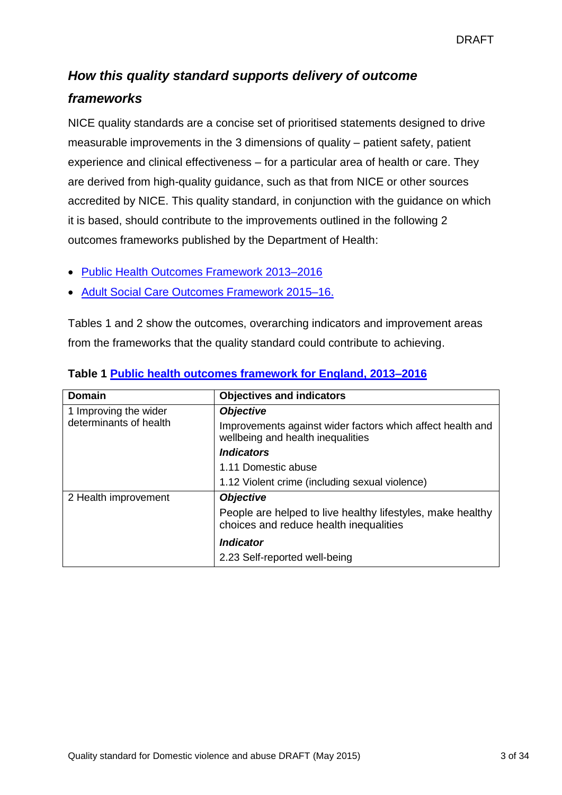# *How this quality standard supports delivery of outcome*

## *frameworks*

NICE quality standards are a concise set of prioritised statements designed to drive measurable improvements in the 3 dimensions of quality – patient safety, patient experience and clinical effectiveness – for a particular area of health or care. They are derived from high-quality guidance, such as that from NICE or other sources accredited by NICE. This quality standard, in conjunction with the guidance on which it is based, should contribute to the improvements outlined in the following 2 outcomes frameworks published by the Department of Health:

- [Public Health Outcomes Framework 2013–2016](https://www.gov.uk/government/publications/healthy-lives-healthy-people-improving-outcomes-and-supporting-transparency)
- [Adult Social Care Outcomes Framework 2015–16.](https://www.gov.uk/government/publications/adult-social-care-outcomes-framework-ascof-2015-to-2016)

Tables 1 and 2 show the outcomes, overarching indicators and improvement areas from the frameworks that the quality standard could contribute to achieving.

| <b>Domain</b>                                   | <b>Objectives and indicators</b>                                                                     |
|-------------------------------------------------|------------------------------------------------------------------------------------------------------|
| 1 Improving the wider<br>determinants of health | <b>Objective</b>                                                                                     |
|                                                 | Improvements against wider factors which affect health and<br>wellbeing and health inequalities      |
|                                                 | <i><u><b>Indicators</b></u></i>                                                                      |
|                                                 | 1.11 Domestic abuse                                                                                  |
|                                                 | 1.12 Violent crime (including sexual violence)                                                       |
| 2 Health improvement                            | <b>Objective</b>                                                                                     |
|                                                 | People are helped to live healthy lifestyles, make healthy<br>choices and reduce health inequalities |
|                                                 | <i><u><b>Indicator</b></u></i>                                                                       |
|                                                 | 2.23 Self-reported well-being                                                                        |

#### **Table 1 [Public health outcomes framework for England, 2013–2016](https://www.gov.uk/government/publications/healthy-lives-healthy-people-improving-outcomes-and-supporting-transparency)**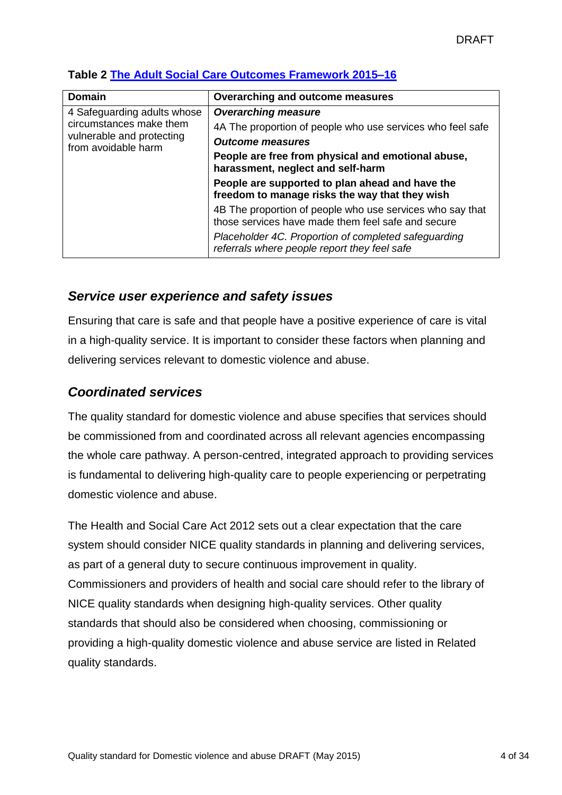| <b>Domain</b>                                                                                              | Overarching and outcome measures                                                                                |
|------------------------------------------------------------------------------------------------------------|-----------------------------------------------------------------------------------------------------------------|
| 4 Safeguarding adults whose<br>circumstances make them<br>vulnerable and protecting<br>from avoidable harm | <b>Overarching measure</b>                                                                                      |
|                                                                                                            | 4A The proportion of people who use services who feel safe                                                      |
|                                                                                                            | <b>Outcome measures</b>                                                                                         |
|                                                                                                            | People are free from physical and emotional abuse,<br>harassment, neglect and self-harm                         |
|                                                                                                            | People are supported to plan ahead and have the<br>freedom to manage risks the way that they wish               |
|                                                                                                            | 4B The proportion of people who use services who say that<br>those services have made them feel safe and secure |
|                                                                                                            | Placeholder 4C. Proportion of completed safeguarding<br>referrals where people report they feel safe            |

## **Table 2 [The Adult Social Care Outcomes Framework 2015–16](https://www.gov.uk/government/publications/adult-social-care-outcomes-framework-ascof-2015-to-2016)**

## *Service user experience and safety issues*

Ensuring that care is safe and that people have a positive experience of care is vital in a high-quality service. It is important to consider these factors when planning and delivering services relevant to domestic violence and abuse.

## *Coordinated services*

The quality standard for domestic violence and abuse specifies that services should be commissioned from and coordinated across all relevant agencies encompassing the whole care pathway. A person-centred, integrated approach to providing services is fundamental to delivering high-quality care to people experiencing or perpetrating domestic violence and abuse.

The Health and Social Care Act 2012 sets out a clear expectation that the care system should consider NICE quality standards in planning and delivering services, as part of a general duty to secure continuous improvement in quality. Commissioners and providers of health and social care should refer to the library of NICE quality standards when designing high-quality services. Other quality standards that should also be considered when choosing, commissioning or providing a high-quality domestic violence and abuse service are listed in Related quality standards.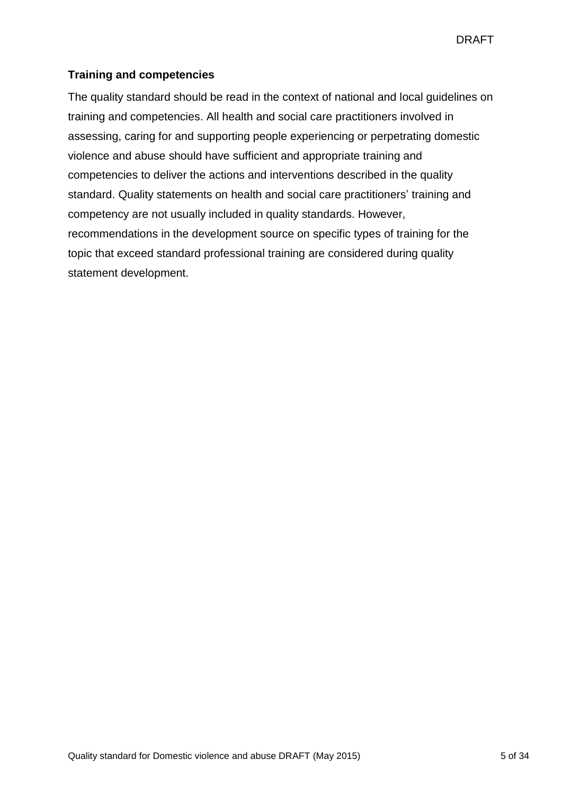#### **Training and competencies**

The quality standard should be read in the context of national and local guidelines on training and competencies. All health and social care practitioners involved in assessing, caring for and supporting people experiencing or perpetrating domestic violence and abuse should have sufficient and appropriate training and competencies to deliver the actions and interventions described in the quality standard. Quality statements on health and social care practitioners' training and competency are not usually included in quality standards. However, recommendations in the development source on specific types of training for the topic that exceed standard professional training are considered during quality statement development.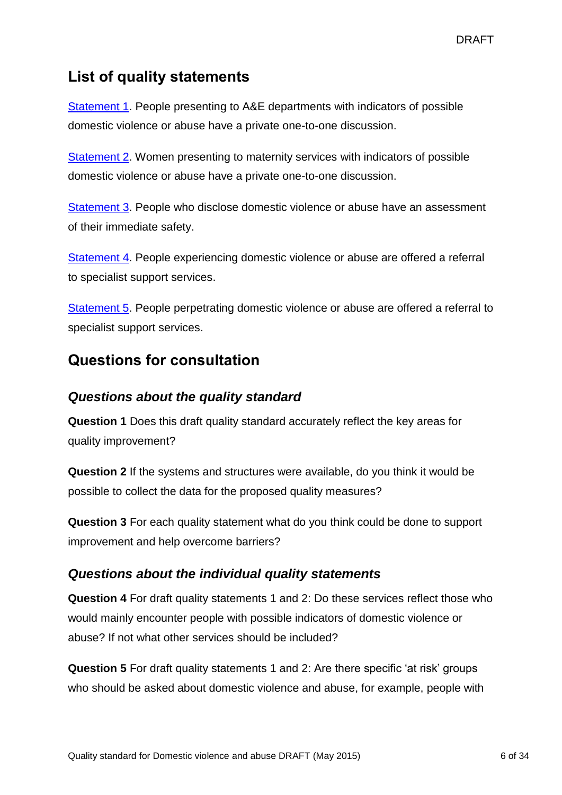## **List of quality statements**

[Statement 1.](#page-6-0) People presenting to A&E departments with indicators of possible domestic violence or abuse have a private one-to-one discussion.

[Statement 2.](#page-11-0) Women presenting to maternity services with indicators of possible domestic violence or abuse have a private one-to-one discussion.

[Statement 3](#page-14-0). People who disclose domestic violence or abuse have an assessment of their immediate safety.

[Statement 4](#page-18-0). People experiencing domestic violence or abuse are offered a referral to specialist support services.

[Statement 5.](#page-22-0) People perpetrating domestic violence or abuse are offered a referral to specialist support services.

## **Questions for consultation**

## *Questions about the quality standard*

**Question 1** Does this draft quality standard accurately reflect the key areas for quality improvement?

**Question 2** If the systems and structures were available, do you think it would be possible to collect the data for the proposed quality measures?

**Question 3** For each quality statement what do you think could be done to support improvement and help overcome barriers?

## *Questions about the individual quality statements*

**Question 4** For draft quality statements 1 and 2: Do these services reflect those who would mainly encounter people with possible indicators of domestic violence or abuse? If not what other services should be included?

**Question 5** For draft quality statements 1 and 2: Are there specific 'at risk' groups who should be asked about domestic violence and abuse, for example, people with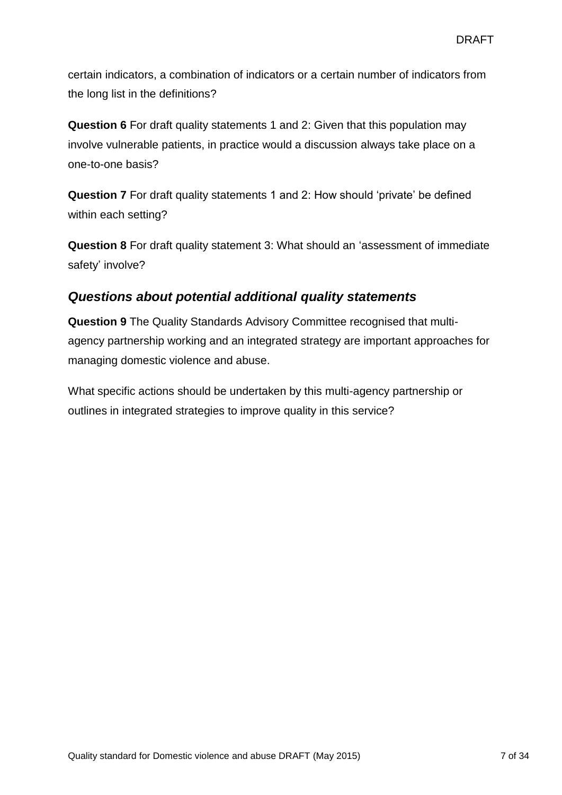certain indicators, a combination of indicators or a certain number of indicators from the long list in the definitions?

**Question 6** For draft quality statements 1 and 2: Given that this population may involve vulnerable patients, in practice would a discussion always take place on a one-to-one basis?

**Question 7** For draft quality statements 1 and 2: How should 'private' be defined within each setting?

**Question 8** For draft quality statement 3: What should an 'assessment of immediate safety' involve?

## *Questions about potential additional quality statements*

<span id="page-6-0"></span>**Question 9** The Quality Standards Advisory Committee recognised that multiagency partnership working and an integrated strategy are important approaches for managing domestic violence and abuse.

What specific actions should be undertaken by this multi-agency partnership or outlines in integrated strategies to improve quality in this service?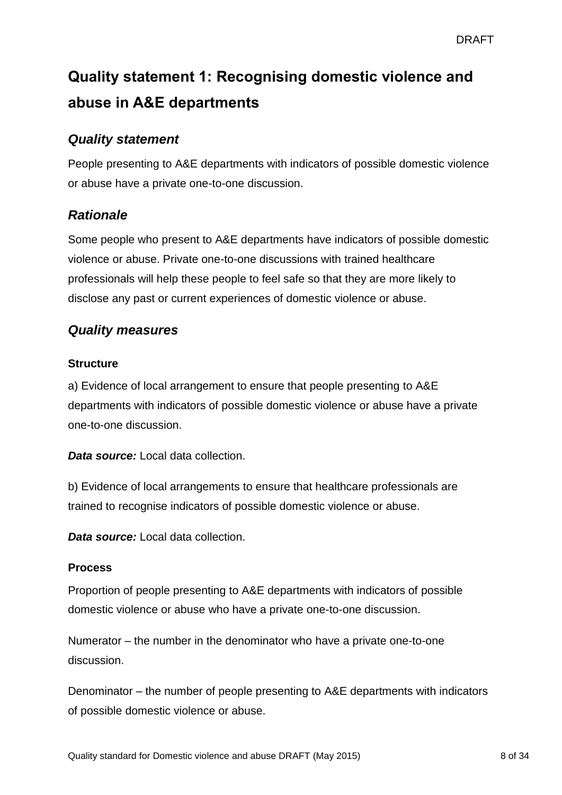# **Quality statement 1: Recognising domestic violence and abuse in A&E departments**

## *Quality statement*

People presenting to A&E departments with indicators of possible domestic violence or abuse have a private one-to-one discussion.

## *Rationale*

Some people who present to A&E departments have indicators of possible domestic violence or abuse. Private one-to-one discussions with trained healthcare professionals will help these people to feel safe so that they are more likely to disclose any past or current experiences of domestic violence or abuse.

## *Quality measures*

#### **Structure**

a) Evidence of local arrangement to ensure that people presenting to A&E departments with indicators of possible domestic violence or abuse have a private one-to-one discussion.

*Data source:* Local data collection.

b) Evidence of local arrangements to ensure that healthcare professionals are trained to recognise indicators of possible domestic violence or abuse.

*Data source:* Local data collection.

#### **Process**

Proportion of people presenting to A&E departments with indicators of possible domestic violence or abuse who have a private one-to-one discussion.

Numerator – the number in the denominator who have a private one-to-one discussion.

Denominator – the number of people presenting to A&E departments with indicators of possible domestic violence or abuse.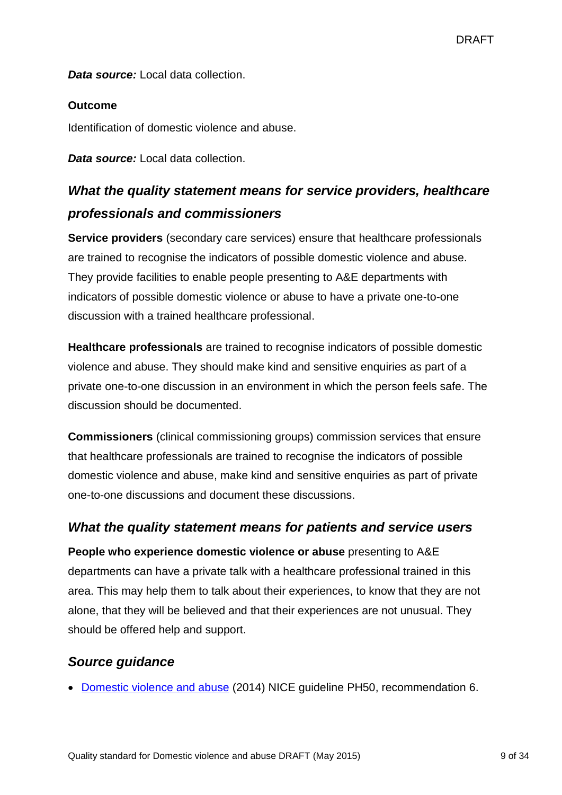*Data source:* Local data collection.

#### **Outcome**

Identification of domestic violence and abuse.

*Data source:* Local data collection.

## *What the quality statement means for service providers, healthcare professionals and commissioners*

**Service providers** (secondary care services) ensure that healthcare professionals are trained to recognise the indicators of possible domestic violence and abuse. They provide facilities to enable people presenting to A&E departments with indicators of possible domestic violence or abuse to have a private one-to-one discussion with a trained healthcare professional.

**Healthcare professionals** are trained to recognise indicators of possible domestic violence and abuse. They should make kind and sensitive enquiries as part of a private one-to-one discussion in an environment in which the person feels safe. The discussion should be documented.

**Commissioners** (clinical commissioning groups) commission services that ensure that healthcare professionals are trained to recognise the indicators of possible domestic violence and abuse, make kind and sensitive enquiries as part of private one-to-one discussions and document these discussions.

## *What the quality statement means for patients and service users*

**People who experience domestic violence or abuse** presenting to A&E departments can have a private talk with a healthcare professional trained in this area. This may help them to talk about their experiences, to know that they are not alone, that they will be believed and that their experiences are not unusual. They should be offered help and support.

## *Source guidance*

[Domestic violence and abuse](http://guidance.nice.org.uk/ph50) (2014) NICE guideline PH50, recommendation 6.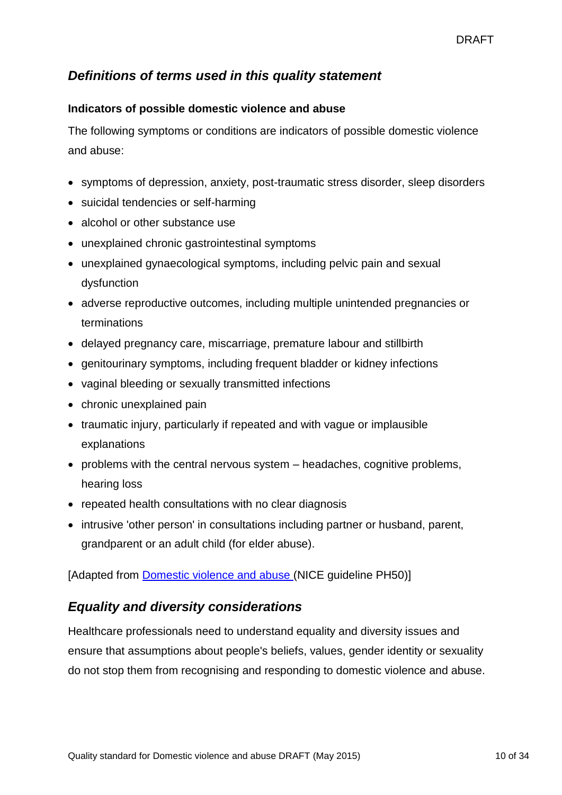## *Definitions of terms used in this quality statement*

#### **Indicators of possible domestic violence and abuse**

The following symptoms or conditions are indicators of possible domestic violence and abuse:

- symptoms of depression, anxiety, post-traumatic stress disorder, sleep disorders
- suicidal tendencies or self-harming
- alcohol or other substance use
- unexplained chronic gastrointestinal symptoms
- unexplained gynaecological symptoms, including pelvic pain and sexual dysfunction
- adverse reproductive outcomes, including multiple unintended pregnancies or terminations
- delayed pregnancy care, miscarriage, premature labour and stillbirth
- genitourinary symptoms, including frequent bladder or kidney infections
- vaginal bleeding or sexually transmitted infections
- chronic unexplained pain
- traumatic injury, particularly if repeated and with vague or implausible explanations
- problems with the central nervous system headaches, cognitive problems, hearing loss
- repeated health consultations with no clear diagnosis
- intrusive 'other person' in consultations including partner or husband, parent, grandparent or an adult child (for elder abuse).

[Adapted from [Domestic violence and abuse](http://guidance.nice.org.uk/ph50) (NICE guideline PH50)]

## *Equality and diversity considerations*

Healthcare professionals need to understand equality and diversity issues and ensure that assumptions about people's beliefs, values, gender identity or sexuality do not stop them from recognising and responding to domestic violence and abuse.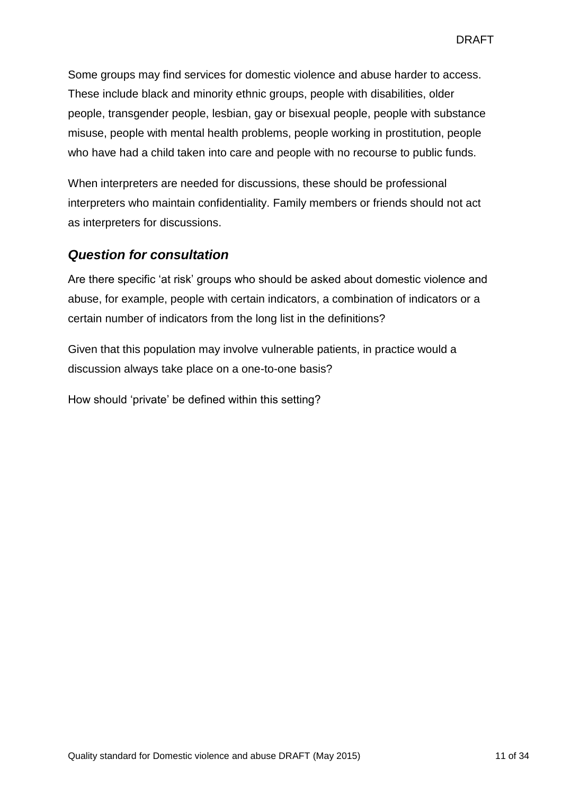Some groups may find services for domestic violence and abuse harder to access. These include black and minority ethnic groups, people with disabilities, older people, transgender people, lesbian, gay or bisexual people, people with substance misuse, people with mental health problems, people working in prostitution, people who have had a child taken into care and people with no recourse to public funds.

When interpreters are needed for discussions, these should be professional interpreters who maintain confidentiality. Family members or friends should not act as interpreters for discussions.

## *Question for consultation*

Are there specific 'at risk' groups who should be asked about domestic violence and abuse, for example, people with certain indicators, a combination of indicators or a certain number of indicators from the long list in the definitions?

Given that this population may involve vulnerable patients, in practice would a discussion always take place on a one-to-one basis?

How should 'private' be defined within this setting?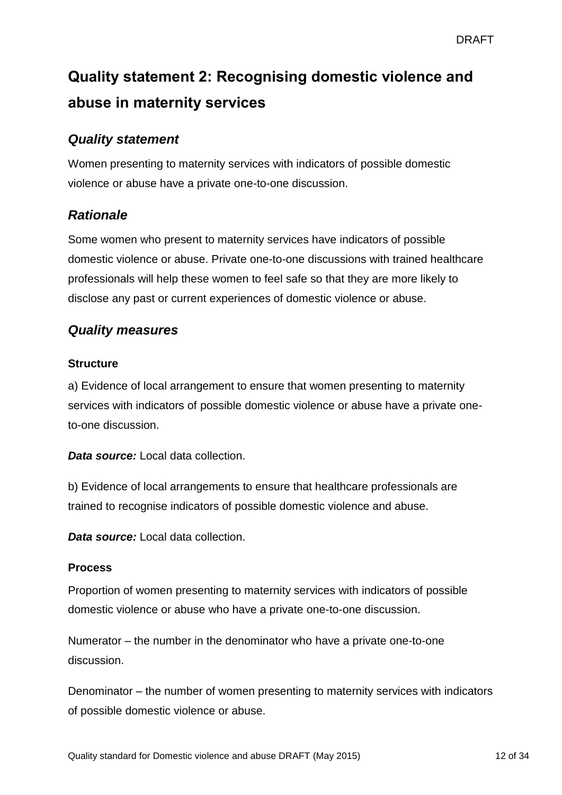# <span id="page-11-0"></span>**Quality statement 2: Recognising domestic violence and abuse in maternity services**

## *Quality statement*

Women presenting to maternity services with indicators of possible domestic violence or abuse have a private one-to-one discussion.

## *Rationale*

Some women who present to maternity services have indicators of possible domestic violence or abuse. Private one-to-one discussions with trained healthcare professionals will help these women to feel safe so that they are more likely to disclose any past or current experiences of domestic violence or abuse.

## *Quality measures*

#### **Structure**

a) Evidence of local arrangement to ensure that women presenting to maternity services with indicators of possible domestic violence or abuse have a private oneto-one discussion.

*Data source:* Local data collection.

b) Evidence of local arrangements to ensure that healthcare professionals are trained to recognise indicators of possible domestic violence and abuse.

*Data source:* Local data collection.

#### **Process**

Proportion of women presenting to maternity services with indicators of possible domestic violence or abuse who have a private one-to-one discussion.

Numerator – the number in the denominator who have a private one-to-one discussion.

Denominator – the number of women presenting to maternity services with indicators of possible domestic violence or abuse.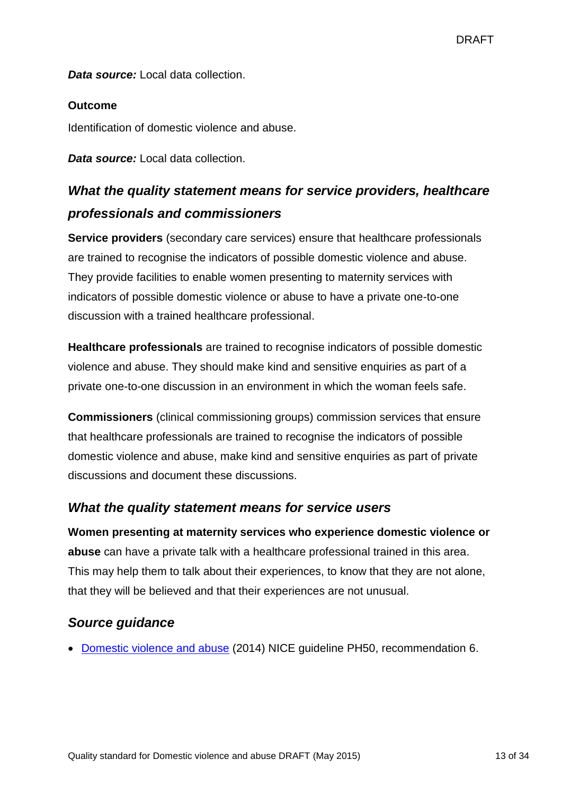*Data source:* Local data collection.

#### **Outcome**

Identification of domestic violence and abuse.

*Data source:* Local data collection.

## *What the quality statement means for service providers, healthcare professionals and commissioners*

**Service providers** (secondary care services) ensure that healthcare professionals are trained to recognise the indicators of possible domestic violence and abuse. They provide facilities to enable women presenting to maternity services with indicators of possible domestic violence or abuse to have a private one-to-one discussion with a trained healthcare professional.

**Healthcare professionals** are trained to recognise indicators of possible domestic violence and abuse. They should make kind and sensitive enquiries as part of a private one-to-one discussion in an environment in which the woman feels safe.

**Commissioners** (clinical commissioning groups) commission services that ensure that healthcare professionals are trained to recognise the indicators of possible domestic violence and abuse, make kind and sensitive enquiries as part of private discussions and document these discussions.

## *What the quality statement means for service users*

**Women presenting at maternity services who experience domestic violence or abuse** can have a private talk with a healthcare professional trained in this area. This may help them to talk about their experiences, to know that they are not alone, that they will be believed and that their experiences are not unusual.

## *Source guidance*

[Domestic violence and abuse](http://guidance.nice.org.uk/ph50) (2014) NICE guideline PH50, recommendation 6.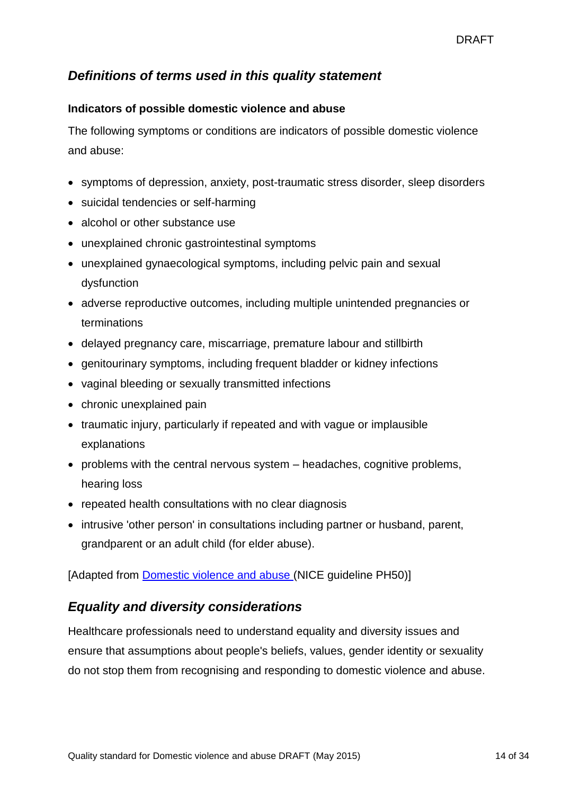## *Definitions of terms used in this quality statement*

#### **Indicators of possible domestic violence and abuse**

The following symptoms or conditions are indicators of possible domestic violence and abuse:

- symptoms of depression, anxiety, post-traumatic stress disorder, sleep disorders
- suicidal tendencies or self-harming
- alcohol or other substance use
- unexplained chronic gastrointestinal symptoms
- unexplained gynaecological symptoms, including pelvic pain and sexual dysfunction
- adverse reproductive outcomes, including multiple unintended pregnancies or terminations
- delayed pregnancy care, miscarriage, premature labour and stillbirth
- genitourinary symptoms, including frequent bladder or kidney infections
- vaginal bleeding or sexually transmitted infections
- chronic unexplained pain
- traumatic injury, particularly if repeated and with vague or implausible explanations
- problems with the central nervous system headaches, cognitive problems, hearing loss
- repeated health consultations with no clear diagnosis
- intrusive 'other person' in consultations including partner or husband, parent, grandparent or an adult child (for elder abuse).

[Adapted from [Domestic violence and abuse](http://guidance.nice.org.uk/ph50) (NICE guideline PH50)]

## *Equality and diversity considerations*

Healthcare professionals need to understand equality and diversity issues and ensure that assumptions about people's beliefs, values, gender identity or sexuality do not stop them from recognising and responding to domestic violence and abuse.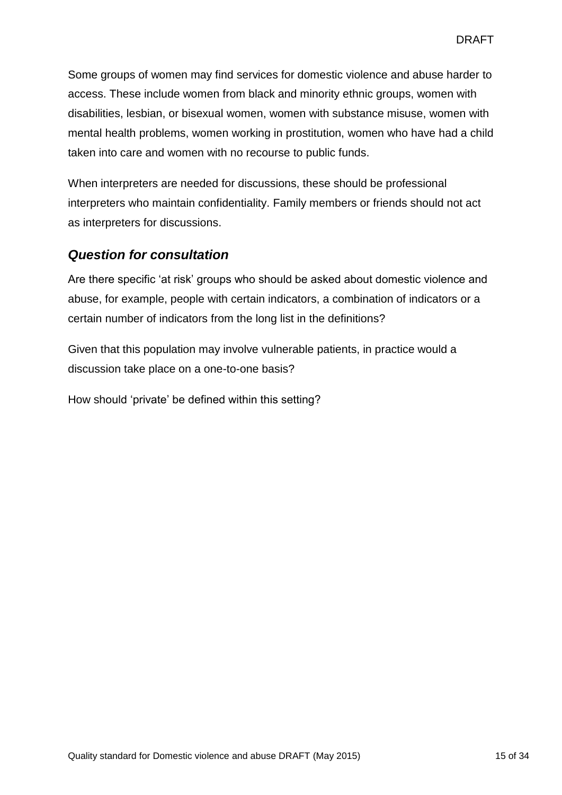Some groups of women may find services for domestic violence and abuse harder to access. These include women from black and minority ethnic groups, women with disabilities, lesbian, or bisexual women, women with substance misuse, women with mental health problems, women working in prostitution, women who have had a child taken into care and women with no recourse to public funds.

When interpreters are needed for discussions, these should be professional interpreters who maintain confidentiality. Family members or friends should not act as interpreters for discussions.

## *Question for consultation*

Are there specific 'at risk' groups who should be asked about domestic violence and abuse, for example, people with certain indicators, a combination of indicators or a certain number of indicators from the long list in the definitions?

Given that this population may involve vulnerable patients, in practice would a discussion take place on a one-to-one basis?

<span id="page-14-0"></span>How should 'private' be defined within this setting?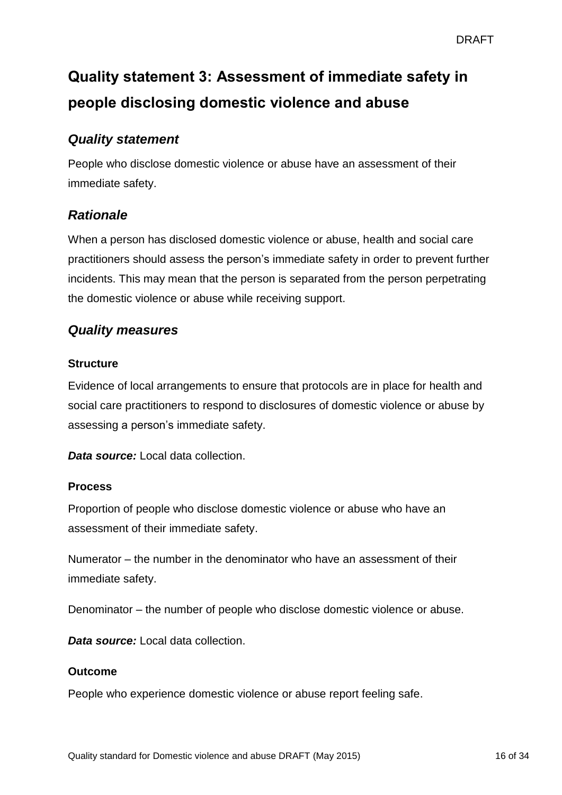# **Quality statement 3: Assessment of immediate safety in people disclosing domestic violence and abuse**

## *Quality statement*

People who disclose domestic violence or abuse have an assessment of their immediate safety.

## *Rationale*

When a person has disclosed domestic violence or abuse, health and social care practitioners should assess the person's immediate safety in order to prevent further incidents. This may mean that the person is separated from the person perpetrating the domestic violence or abuse while receiving support.

## *Quality measures*

#### **Structure**

Evidence of local arrangements to ensure that protocols are in place for health and social care practitioners to respond to disclosures of domestic violence or abuse by assessing a person's immediate safety.

*Data source:* Local data collection.

#### **Process**

Proportion of people who disclose domestic violence or abuse who have an assessment of their immediate safety.

Numerator – the number in the denominator who have an assessment of their immediate safety.

Denominator – the number of people who disclose domestic violence or abuse.

*Data source:* Local data collection.

#### **Outcome**

People who experience domestic violence or abuse report feeling safe.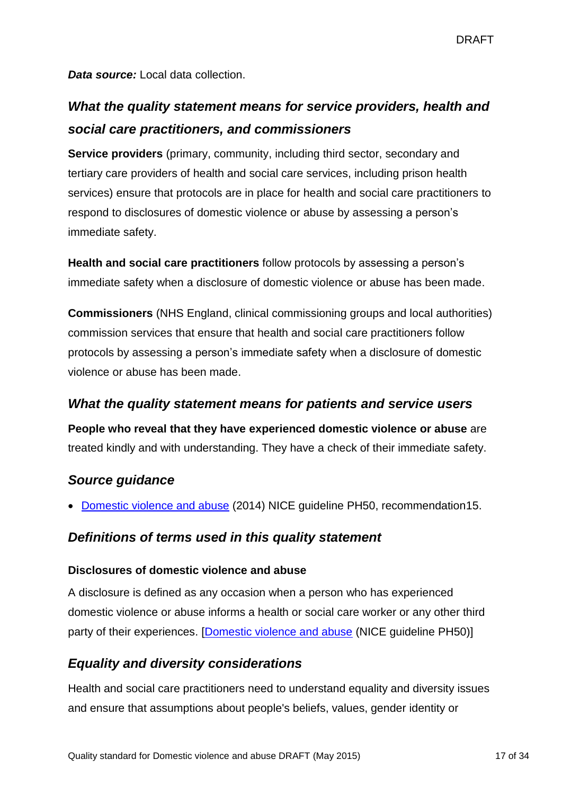*Data source:* Local data collection.

## *What the quality statement means for service providers, health and social care practitioners, and commissioners*

**Service providers** (primary, community, including third sector, secondary and tertiary care providers of health and social care services, including prison health services) ensure that protocols are in place for health and social care practitioners to respond to disclosures of domestic violence or abuse by assessing a person's immediate safety.

**Health and social care practitioners** follow protocols by assessing a person's immediate safety when a disclosure of domestic violence or abuse has been made.

**Commissioners** (NHS England, clinical commissioning groups and local authorities) commission services that ensure that health and social care practitioners follow protocols by assessing a person's immediate safety when a disclosure of domestic violence or abuse has been made.

## *What the quality statement means for patients and service users*

**People who reveal that they have experienced domestic violence or abuse** are treated kindly and with understanding. They have a check of their immediate safety.

## *Source guidance*

[Domestic violence and abuse](http://guidance.nice.org.uk/ph50) (2014) NICE guideline PH50, recommendation15.

## *Definitions of terms used in this quality statement*

#### **Disclosures of domestic violence and abuse**

A disclosure is defined as any occasion when a person who has experienced domestic violence or abuse informs a health or social care worker or any other third party of their experiences. [\[Domestic violence and abuse](http://guidance.nice.org.uk/ph50) (NICE guideline PH50)]

## *Equality and diversity considerations*

Health and social care practitioners need to understand equality and diversity issues and ensure that assumptions about people's beliefs, values, gender identity or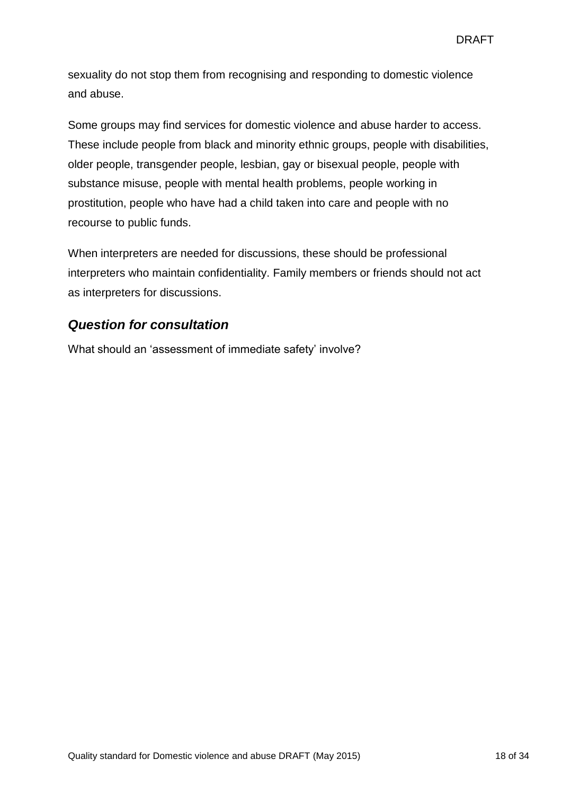sexuality do not stop them from recognising and responding to domestic violence and abuse.

Some groups may find services for domestic violence and abuse harder to access. These include people from black and minority ethnic groups, people with disabilities, older people, transgender people, lesbian, gay or bisexual people, people with substance misuse, people with mental health problems, people working in prostitution, people who have had a child taken into care and people with no recourse to public funds.

When interpreters are needed for discussions, these should be professional interpreters who maintain confidentiality. Family members or friends should not act as interpreters for discussions.

## *Question for consultation*

What should an 'assessment of immediate safety' involve?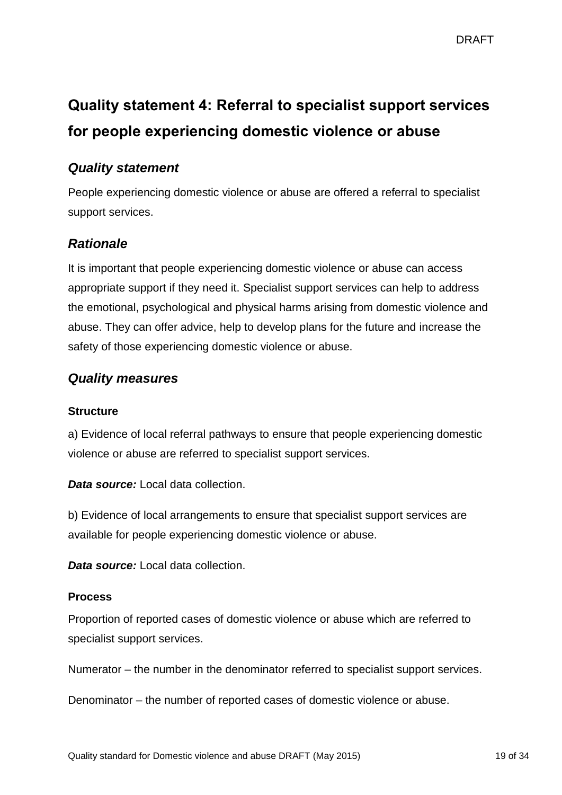# <span id="page-18-0"></span>**Quality statement 4: Referral to specialist support services for people experiencing domestic violence or abuse**

## *Quality statement*

People experiencing domestic violence or abuse are offered a referral to specialist support services.

## *Rationale*

It is important that people experiencing domestic violence or abuse can access appropriate support if they need it. Specialist support services can help to address the emotional, psychological and physical harms arising from domestic violence and abuse. They can offer advice, help to develop plans for the future and increase the safety of those experiencing domestic violence or abuse.

## *Quality measures*

#### **Structure**

a) Evidence of local referral pathways to ensure that people experiencing domestic violence or abuse are referred to specialist support services.

*Data source:* Local data collection.

b) Evidence of local arrangements to ensure that specialist support services are available for people experiencing domestic violence or abuse.

*Data source:* Local data collection.

#### **Process**

Proportion of reported cases of domestic violence or abuse which are referred to specialist support services.

Numerator – the number in the denominator referred to specialist support services.

Denominator – the number of reported cases of domestic violence or abuse.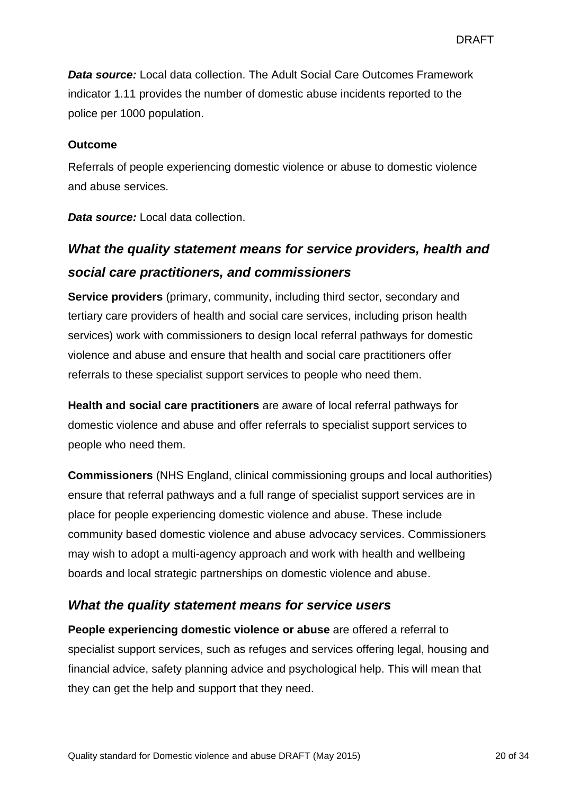*Data source:* Local data collection. The Adult Social Care Outcomes Framework indicator 1.11 provides the number of domestic abuse incidents reported to the police per 1000 population.

#### **Outcome**

Referrals of people experiencing domestic violence or abuse to domestic violence and abuse services.

*Data source:* Local data collection.

## *What the quality statement means for service providers, health and social care practitioners, and commissioners*

**Service providers** (primary, community, including third sector, secondary and tertiary care providers of health and social care services, including prison health services) work with commissioners to design local referral pathways for domestic violence and abuse and ensure that health and social care practitioners offer referrals to these specialist support services to people who need them.

**Health and social care practitioners** are aware of local referral pathways for domestic violence and abuse and offer referrals to specialist support services to people who need them.

**Commissioners** (NHS England, clinical commissioning groups and local authorities) ensure that referral pathways and a full range of specialist support services are in place for people experiencing domestic violence and abuse. These include community based domestic violence and abuse advocacy services. Commissioners may wish to adopt a multi-agency approach and work with health and wellbeing boards and local strategic partnerships on domestic violence and abuse.

## *What the quality statement means for service users*

**People experiencing domestic violence or abuse** are offered a referral to specialist support services, such as refuges and services offering legal, housing and financial advice, safety planning advice and psychological help. This will mean that they can get the help and support that they need.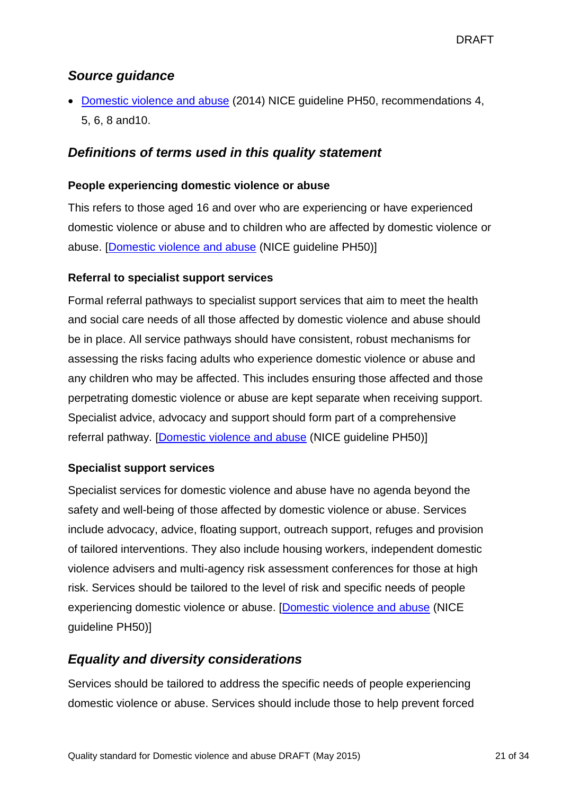## *Source guidance*

• [Domestic violence and abuse](http://guidance.nice.org.uk/ph50) (2014) NICE guideline PH50, recommendations 4, 5, 6, 8 and10.

## *Definitions of terms used in this quality statement*

#### **People experiencing domestic violence or abuse**

This refers to those aged 16 and over who are experiencing or have experienced domestic violence or abuse and to children who are affected by domestic violence or abuse. [\[Domestic violence and abuse](http://guidance.nice.org.uk/ph50) (NICE guideline PH50)]

#### **Referral to specialist support services**

Formal referral pathways to specialist support services that aim to meet the health and social care needs of all those affected by domestic violence and abuse should be in place. All service pathways should have consistent, robust mechanisms for assessing the risks facing adults who experience domestic violence or abuse and any children who may be affected. This includes ensuring those affected and those perpetrating domestic violence or abuse are kept separate when receiving support. Specialist advice, advocacy and support should form part of a comprehensive referral pathway. [\[Domestic violence and abuse](http://guidance.nice.org.uk/ph50) (NICE guideline PH50)]

#### **Specialist support services**

Specialist services for domestic violence and abuse have no agenda beyond the safety and well-being of those affected by domestic violence or abuse. Services include advocacy, advice, floating support, outreach support, refuges and provision of tailored interventions. They also include housing workers, independent domestic violence advisers and multi-agency risk assessment conferences for those at high risk. Services should be tailored to the level of risk and specific needs of people experiencing domestic violence or abuse. [\[Domestic violence and abuse](http://guidance.nice.org.uk/ph50) (NICE guideline PH50)]

## *Equality and diversity considerations*

Services should be tailored to address the specific needs of people experiencing domestic violence or abuse. Services should include those to help prevent forced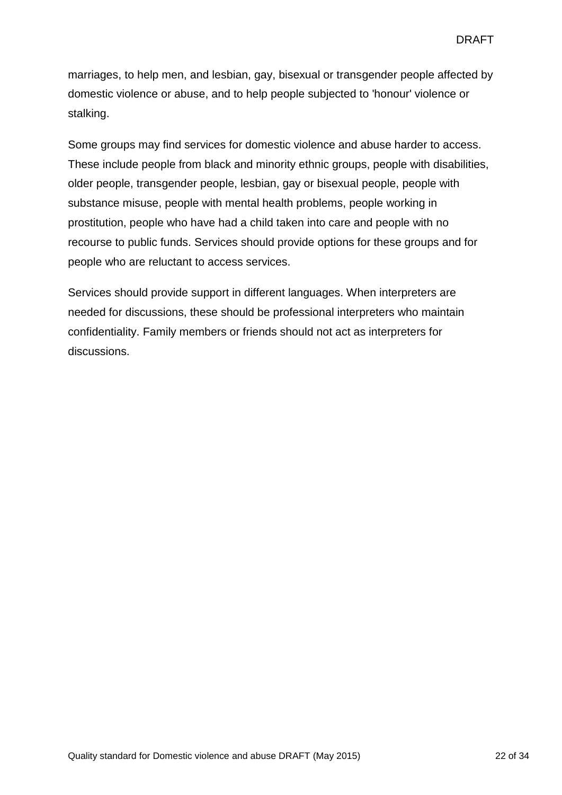marriages, to help men, and lesbian, gay, bisexual or transgender people affected by domestic violence or abuse, and to help people subjected to 'honour' violence or stalking.

Some groups may find services for domestic violence and abuse harder to access. These include people from black and minority ethnic groups, people with disabilities, older people, transgender people, lesbian, gay or bisexual people, people with substance misuse, people with mental health problems, people working in prostitution, people who have had a child taken into care and people with no recourse to public funds. Services should provide options for these groups and for people who are reluctant to access services.

Services should provide support in different languages. When interpreters are needed for discussions, these should be professional interpreters who maintain confidentiality. Family members or friends should not act as interpreters for discussions.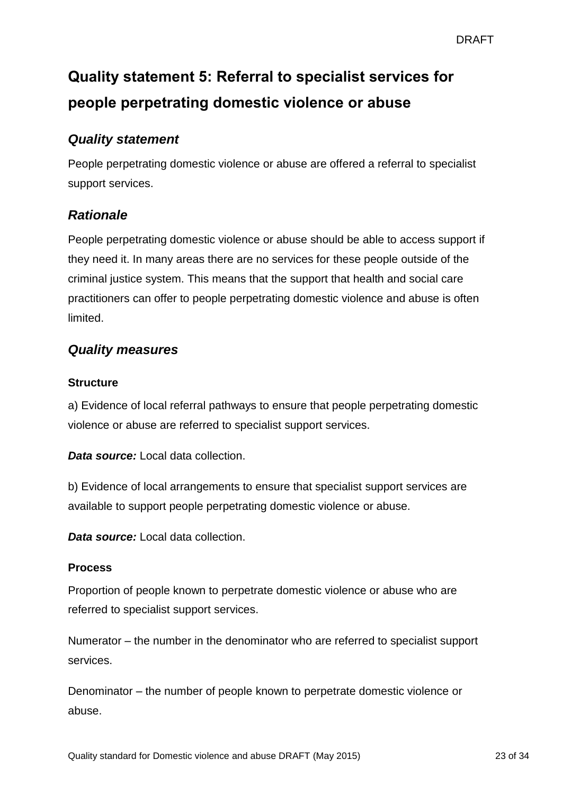# <span id="page-22-0"></span>**Quality statement 5: Referral to specialist services for people perpetrating domestic violence or abuse**

## *Quality statement*

People perpetrating domestic violence or abuse are offered a referral to specialist support services.

## *Rationale*

People perpetrating domestic violence or abuse should be able to access support if they need it. In many areas there are no services for these people outside of the criminal justice system. This means that the support that health and social care practitioners can offer to people perpetrating domestic violence and abuse is often limited.

## *Quality measures*

#### **Structure**

a) Evidence of local referral pathways to ensure that people perpetrating domestic violence or abuse are referred to specialist support services.

*Data source:* Local data collection.

b) Evidence of local arrangements to ensure that specialist support services are available to support people perpetrating domestic violence or abuse.

*Data source:* Local data collection.

#### **Process**

Proportion of people known to perpetrate domestic violence or abuse who are referred to specialist support services.

Numerator – the number in the denominator who are referred to specialist support services.

Denominator – the number of people known to perpetrate domestic violence or abuse.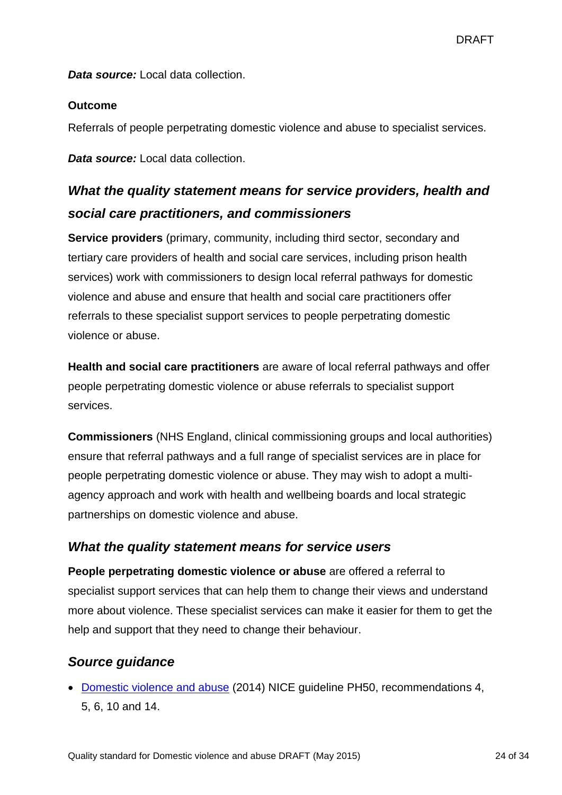*Data source:* Local data collection.

#### **Outcome**

Referrals of people perpetrating domestic violence and abuse to specialist services.

*Data source:* Local data collection.

## *What the quality statement means for service providers, health and social care practitioners, and commissioners*

**Service providers** (primary, community, including third sector, secondary and tertiary care providers of health and social care services, including prison health services) work with commissioners to design local referral pathways for domestic violence and abuse and ensure that health and social care practitioners offer referrals to these specialist support services to people perpetrating domestic violence or abuse.

**Health and social care practitioners** are aware of local referral pathways and offer people perpetrating domestic violence or abuse referrals to specialist support services.

**Commissioners** (NHS England, clinical commissioning groups and local authorities) ensure that referral pathways and a full range of specialist services are in place for people perpetrating domestic violence or abuse. They may wish to adopt a multiagency approach and work with health and wellbeing boards and local strategic partnerships on domestic violence and abuse.

## *What the quality statement means for service users*

**People perpetrating domestic violence or abuse** are offered a referral to specialist support services that can help them to change their views and understand more about violence. These specialist services can make it easier for them to get the help and support that they need to change their behaviour.

## *Source guidance*

• [Domestic violence and abuse](http://guidance.nice.org.uk/ph50) (2014) NICE quideline PH50, recommendations 4, 5, 6, 10 and 14.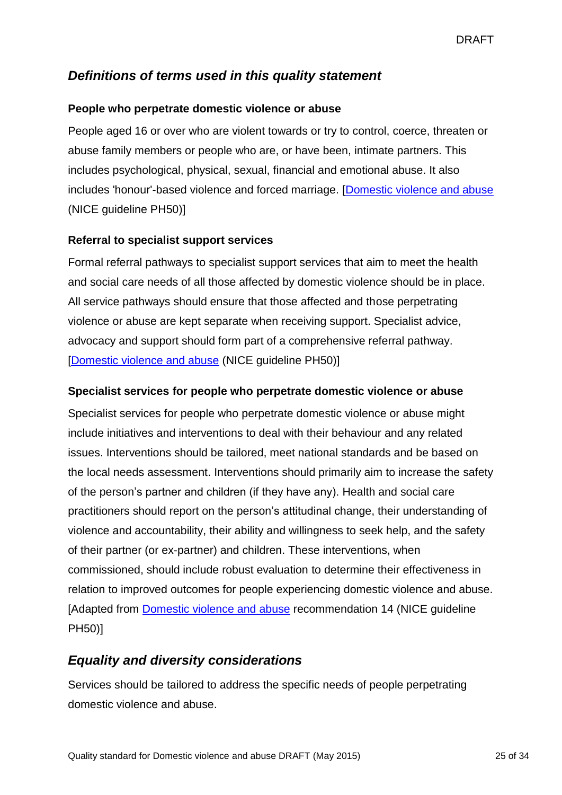## *Definitions of terms used in this quality statement*

#### **People who perpetrate domestic violence or abuse**

People aged 16 or over who are violent towards or try to control, coerce, threaten or abuse family members or people who are, or have been, intimate partners. This includes psychological, physical, sexual, financial and emotional abuse. It also includes 'honour'-based violence and forced marriage. [\[Domestic violence and abuse](http://guidance.nice.org.uk/ph50) (NICE guideline PH50)]

#### **Referral to specialist support services**

Formal referral pathways to specialist support services that aim to meet the health and social care needs of all those affected by domestic violence should be in place. All service pathways should ensure that those affected and those perpetrating violence or abuse are kept separate when receiving support. Specialist advice, advocacy and support should form part of a comprehensive referral pathway. [\[Domestic violence and abuse](http://www.nice.org.uk/guidance/ph50) (NICE guideline PH50)]

#### **Specialist services for people who perpetrate domestic violence or abuse**

Specialist services for people who perpetrate domestic violence or abuse might include initiatives and interventions to deal with their behaviour and any related issues. Interventions should be tailored, meet national standards and be based on the local needs assessment. Interventions should primarily aim to increase the safety of the person's partner and children (if they have any). Health and social care practitioners should report on the person's attitudinal change, their understanding of violence and accountability, their ability and willingness to seek help, and the safety of their partner (or ex-partner) and children. These interventions, when commissioned, should include robust evaluation to determine their effectiveness in relation to improved outcomes for people experiencing domestic violence and abuse. [Adapted from [Domestic violence and abuse](http://guidance.nice.org.uk/ph50) recommendation 14 (NICE guideline PH50)]

## *Equality and diversity considerations*

Services should be tailored to address the specific needs of people perpetrating domestic violence and abuse.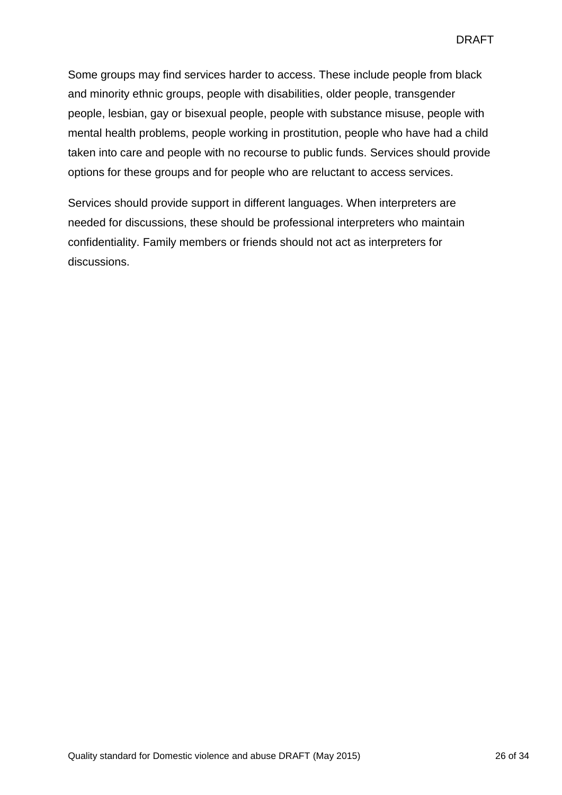Some groups may find services harder to access. These include people from black and minority ethnic groups, people with disabilities, older people, transgender people, lesbian, gay or bisexual people, people with substance misuse, people with mental health problems, people working in prostitution, people who have had a child taken into care and people with no recourse to public funds. Services should provide options for these groups and for people who are reluctant to access services.

Services should provide support in different languages. When interpreters are needed for discussions, these should be professional interpreters who maintain confidentiality. Family members or friends should not act as interpreters for discussions.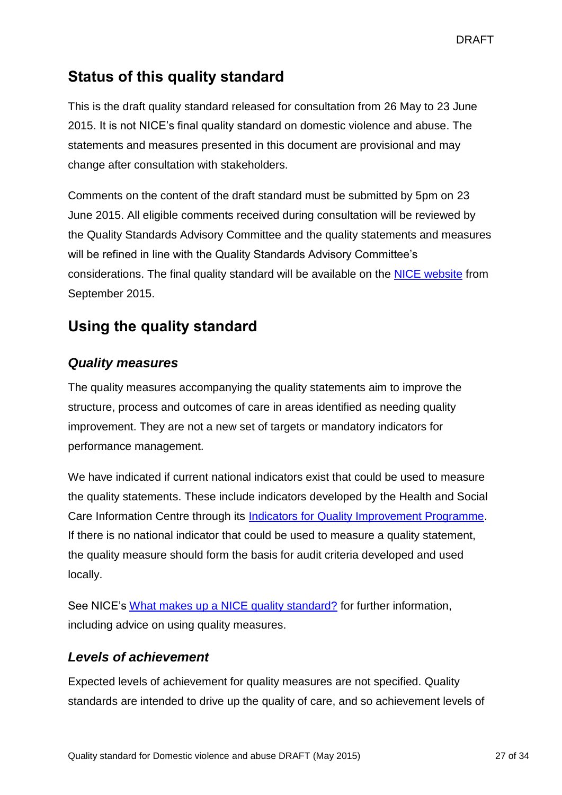## **Status of this quality standard**

This is the draft quality standard released for consultation from 26 May to 23 June 2015. It is not NICE's final quality standard on domestic violence and abuse. The statements and measures presented in this document are provisional and may change after consultation with stakeholders.

Comments on the content of the draft standard must be submitted by 5pm on 23 June 2015. All eligible comments received during consultation will be reviewed by the Quality Standards Advisory Committee and the quality statements and measures will be refined in line with the Quality Standards Advisory Committee's considerations. The final quality standard will be available on the [NICE website](http://www.nice.org.uk/standards-and-indicators) from September 2015.

## **Using the quality standard**

## *Quality measures*

The quality measures accompanying the quality statements aim to improve the structure, process and outcomes of care in areas identified as needing quality improvement. They are not a new set of targets or mandatory indicators for performance management.

We have indicated if current national indicators exist that could be used to measure the quality statements. These include indicators developed by the Health and Social Care Information Centre through its [Indicators for Quality Improvement Programme.](http://www.hscic.gov.uk/iqi) If there is no national indicator that could be used to measure a quality statement, the quality measure should form the basis for audit criteria developed and used locally.

See NICE's [What makes up a NICE quality standard?](http://www.nice.org.uk/Standards-and-Indicators/Developing-NICE-quality-standards-/NICE-quality-standards-FAQs) for further information, including advice on using quality measures.

## *Levels of achievement*

Expected levels of achievement for quality measures are not specified. Quality standards are intended to drive up the quality of care, and so achievement levels of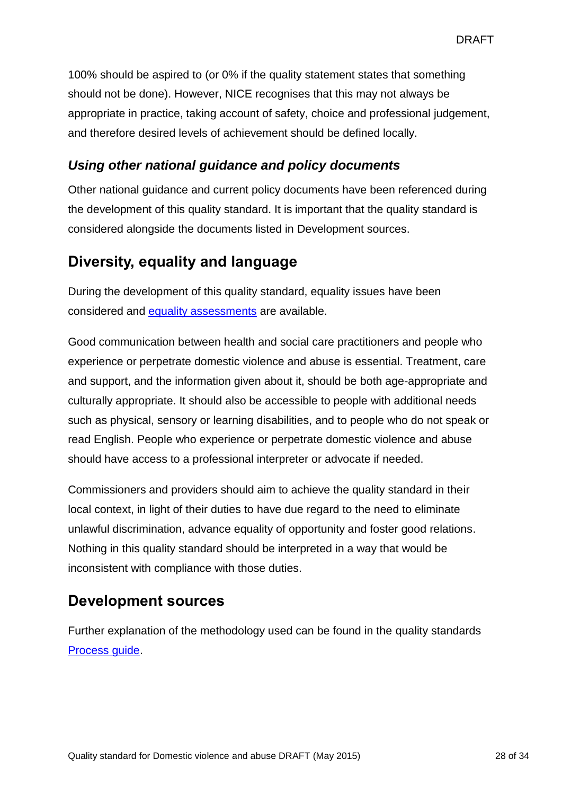100% should be aspired to (or 0% if the quality statement states that something should not be done). However, NICE recognises that this may not always be appropriate in practice, taking account of safety, choice and professional judgement, and therefore desired levels of achievement should be defined locally.

## *Using other national guidance and policy documents*

Other national guidance and current policy documents have been referenced during the development of this quality standard. It is important that the quality standard is considered alongside the documents listed in Development sources.

## **Diversity, equality and language**

During the development of this quality standard, equality issues have been considered and [equality assessments](http://www.nice.org.uk/guidance/indevelopment/gid-qsd106/documents) are available.

Good communication between health and social care practitioners and people who experience or perpetrate domestic violence and abuse is essential. Treatment, care and support, and the information given about it, should be both age-appropriate and culturally appropriate. It should also be accessible to people with additional needs such as physical, sensory or learning disabilities, and to people who do not speak or read English. People who experience or perpetrate domestic violence and abuse should have access to a professional interpreter or advocate if needed.

Commissioners and providers should aim to achieve the quality standard in their local context, in light of their duties to have due regard to the need to eliminate unlawful discrimination, advance equality of opportunity and foster good relations. Nothing in this quality standard should be interpreted in a way that would be inconsistent with compliance with those duties.

## **Development sources**

Further explanation of the methodology used can be found in the quality standards [Process guide.](http://www.nice.org.uk/Standards-and-Indicators/Developing-NICE-quality-standards)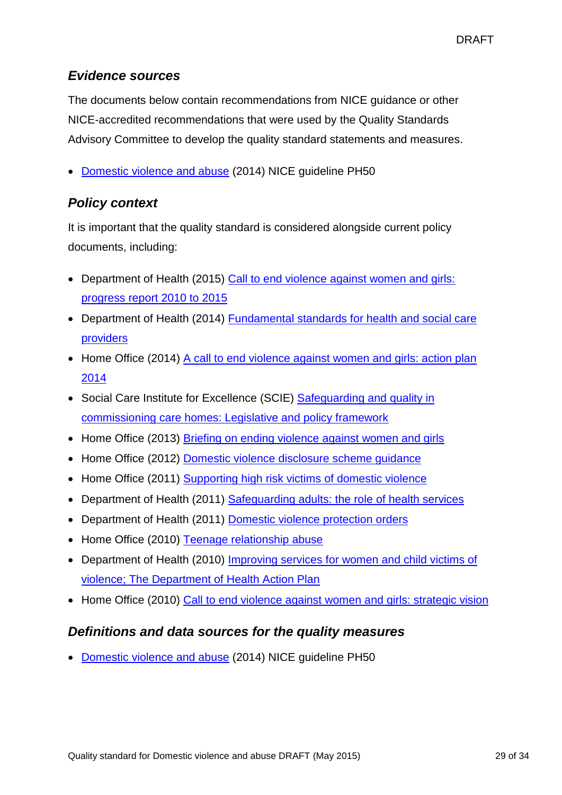## *Evidence sources*

The documents below contain recommendations from NICE guidance or other NICE-accredited recommendations that were used by the Quality Standards Advisory Committee to develop the quality standard statements and measures.

• [Domestic violence and abuse](http://www.nice.org.uk/guidance/PH50) (2014) NICE quideline PH50

## *Policy context*

It is important that the quality standard is considered alongside current policy documents, including:

- Department of Health (2015) Call to end violence against women and girls: [progress report 2010 to 2015](https://www.gov.uk/government/publications/call-to-end-violence-against-women-and-girls-progress-report-2010-to-2015)
- Department of Health (2014) Fundamental standards for health and social care [providers](https://www.gov.uk/government/consultations/fundamental-standards-for-health-and-social-care-providers)
- Home Office (2014) A call to end violence against women and girls: action plan [2014](https://www.gov.uk/government/publications/a-call-to-end-violence-against-women-and-girls-action-plan-2014)
- Social Care Institute for Excellence (SCIE) Safeguarding and quality in [commissioning care homes: Legislative and policy framework](http://www.scie.org.uk/publications/guides/guide45/legislative.asp)
- Home Office (2013) [Briefing on ending violence against women and girls](https://www.gov.uk/government/publications/briefing-on-ending-violence-against-women-and-girls)
- Home Office (2012) [Domestic violence disclosure scheme guidance](https://www.gov.uk/government/publications/domestic-violence-disclosure-scheme-pilot-guidance)
- Home Office (2011) [Supporting high risk victims of domestic violence](https://www.gov.uk/government/publications/supporting-high-risk-victims-of-domestic-violence)
- Department of Health (2011) [Safeguarding adults: the role](https://www.gov.uk/government/publications/safeguarding-adults-the-role-of-health-services) of health services
- Department of Health (2011) [Domestic violence protection orders](https://www.gov.uk/government/publications/domestic-violence-protection-orders)
- Home Office (2010) [Teenage relationship abuse](https://www.gov.uk/government/publications/teenage-relationship-abuse)
- Department of Health (2010) [Improving services for women and child victims of](https://www.gov.uk/government/publications/improving-services-for-women-and-child-victims-of-violence-the-department-of-health-action-plan)  [violence; The Department of Health Action Plan](https://www.gov.uk/government/publications/improving-services-for-women-and-child-victims-of-violence-the-department-of-health-action-plan)
- Home Office (2010) [Call to end violence against women and girls: strategic vision](https://www.gov.uk/government/publications/call-to-end-violence-against-women-and-girls-strategic-vision)

## *Definitions and data sources for the quality measures*

• [Domestic violence and abuse](http://www.nice.org.uk/guidance/PH50) (2014) NICE guideline PH50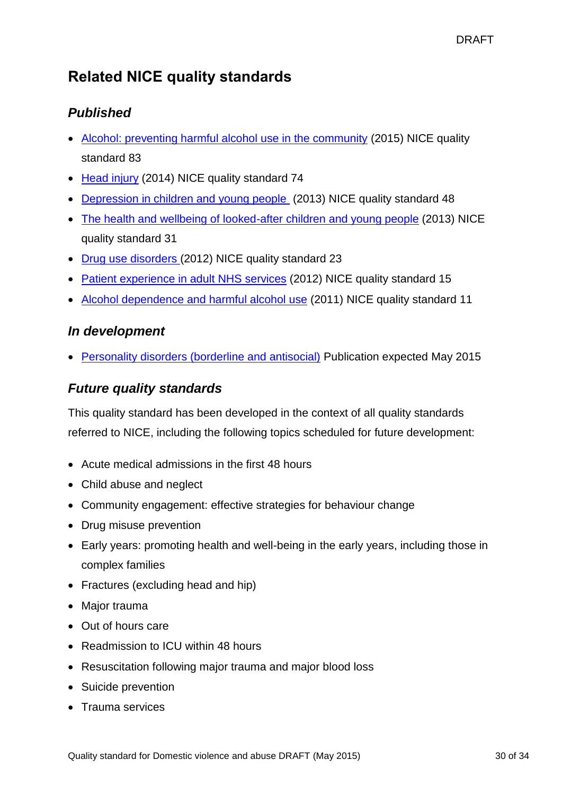## **Related NICE quality standards**

## *Published*

- [Alcohol: preventing harmful alcohol use in the community](https://www.nice.org.uk/Guidance/qs83) (2015) NICE quality standard 83
- [Head injury](https://www.nice.org.uk/guidance/QS74) (2014) NICE quality standard 74
- [Depression in children and young people](https://www.nice.org.uk/Guidance/QS48) (2013) NICE quality standard 48
- [The health and wellbeing of looked-after children and young people](http://www.nice.org.uk/guidance/qs31) (2013) NICE quality standard 31
- [Drug use disorders \(](https://www.nice.org.uk/Guidance/QS23)2012) NICE quality standard 23
- [Patient experience in adult NHS services](http://publications.nice.org.uk/quality-standard-for-patient-experience-in-adult-nhs-services-qs15) (2012) NICE quality standard 15
- [Alcohol dependence and harmful alcohol use](http://www.nice.org.uk/guidance/qs11) (2011) NICE quality standard 11

## *In development*

[Personality disorders \(borderline and antisocial\)](http://www.nice.org.uk/guidance/indevelopment/gid-qsd91) Publication expected May 2015

## *Future quality standards*

This quality standard has been developed in the context of all quality standards referred to NICE, including the following topics scheduled for future development:

- Acute medical admissions in the first 48 hours
- Child abuse and neglect
- Community engagement: effective strategies for behaviour change
- Drug misuse prevention
- Early years: promoting health and well-being in the early years, including those in complex families
- Fractures (excluding head and hip)
- Major trauma
- Out of hours care
- Readmission to ICU within 48 hours
- Resuscitation following major trauma and major blood loss
- Suicide prevention
- Trauma services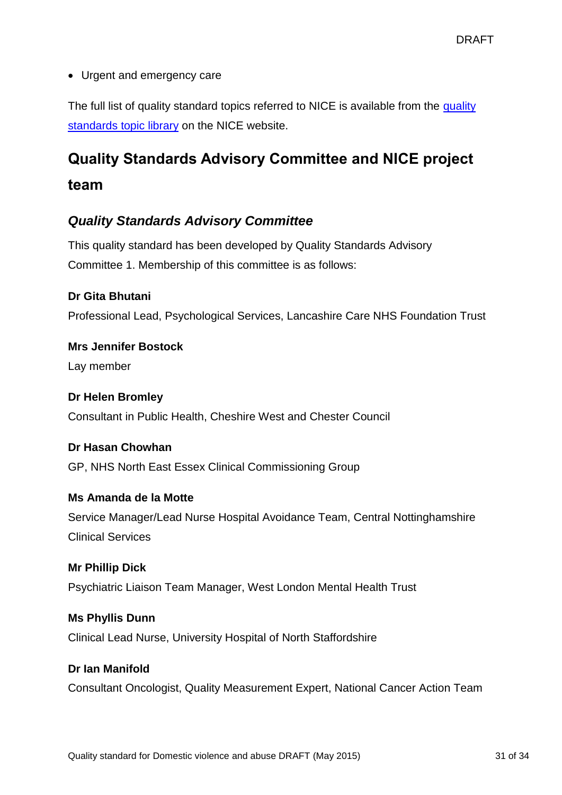• Urgent and emergency care

The full list of [quality](http://www.nice.org.uk/Standards-and-Indicators/Developing-NICE-quality-standards-/Quality-standards-topic-library) standard topics referred to NICE is available from the quality [standards topic library](http://www.nice.org.uk/Standards-and-Indicators/Developing-NICE-quality-standards-/Quality-standards-topic-library) on the NICE website.

# **Quality Standards Advisory Committee and NICE project team**

## *Quality Standards Advisory Committee*

This quality standard has been developed by Quality Standards Advisory Committee 1. Membership of this committee is as follows:

#### **Dr Gita Bhutani**

Professional Lead, Psychological Services, Lancashire Care NHS Foundation Trust

**Mrs Jennifer Bostock** Lay member

#### **Dr Helen Bromley**

Consultant in Public Health, Cheshire West and Chester Council

#### **Dr Hasan Chowhan**

GP, NHS North East Essex Clinical Commissioning Group

#### **Ms Amanda de la Motte**

Service Manager/Lead Nurse Hospital Avoidance Team, Central Nottinghamshire Clinical Services

**Mr Phillip Dick** Psychiatric Liaison Team Manager, West London Mental Health Trust

## **Ms Phyllis Dunn**

Clinical Lead Nurse, University Hospital of North Staffordshire

#### **Dr Ian Manifold**

Consultant Oncologist, Quality Measurement Expert, National Cancer Action Team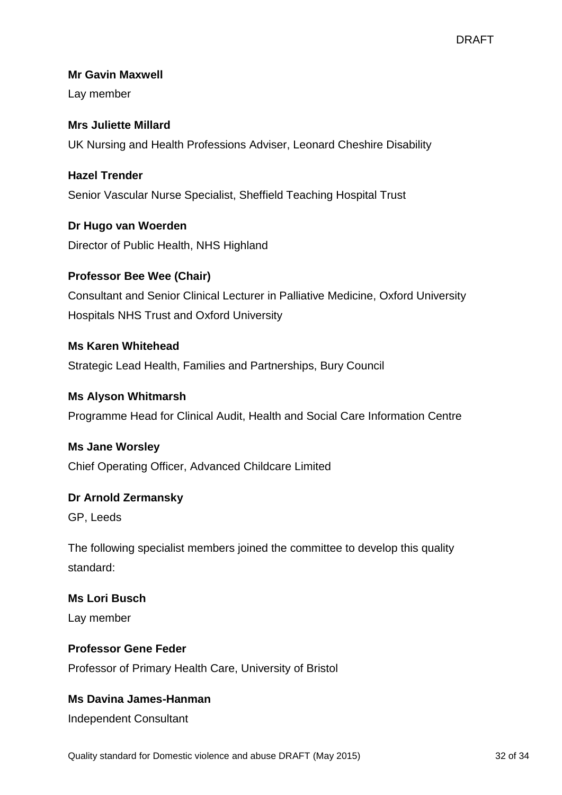#### **Mr Gavin Maxwell**

Lay member

## **Mrs Juliette Millard** UK Nursing and Health Professions Adviser, Leonard Cheshire Disability

#### **Hazel Trender**

Senior Vascular Nurse Specialist, Sheffield Teaching Hospital Trust

## **Dr Hugo van Woerden**

Director of Public Health, NHS Highland

#### **Professor Bee Wee (Chair)**

Consultant and Senior Clinical Lecturer in Palliative Medicine, Oxford University Hospitals NHS Trust and Oxford University

#### **Ms Karen Whitehead**

Strategic Lead Health, Families and Partnerships, Bury Council

#### **Ms Alyson Whitmarsh**

Programme Head for Clinical Audit, Health and Social Care Information Centre

#### **Ms Jane Worsley**

Chief Operating Officer, Advanced Childcare Limited

#### **Dr Arnold Zermansky**

GP, Leeds

The following specialist members joined the committee to develop this quality standard:

## **Ms Lori Busch** Lay member

#### **Professor Gene Feder**

Professor of Primary Health Care, University of Bristol

#### **Ms Davina James-Hanman**

Independent Consultant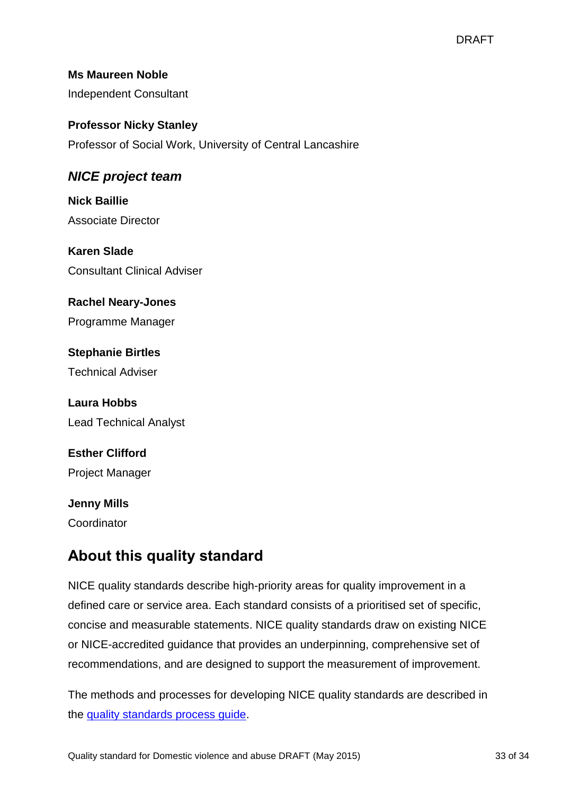#### **Ms Maureen Noble**

Independent Consultant

#### **Professor Nicky Stanley**

Professor of Social Work, University of Central Lancashire

## *NICE project team*

**Nick Baillie** Associate Director

**Karen Slade** Consultant Clinical Adviser

# **Rachel Neary-Jones**

Programme Manager

**Stephanie Birtles** Technical Adviser

**Laura Hobbs** Lead Technical Analyst

**Esther Clifford** Project Manager

## **Jenny Mills** Coordinator

## **About this quality standard**

NICE quality standards describe high-priority areas for quality improvement in a defined care or service area. Each standard consists of a prioritised set of specific, concise and measurable statements. NICE quality standards draw on existing NICE or NICE-accredited guidance that provides an underpinning, comprehensive set of recommendations, and are designed to support the measurement of improvement.

The methods and processes for developing NICE quality standards are described in the [quality standards process guide.](http://www.nice.org.uk/Standards-and-Indicators/Developing-NICE-quality-standards)